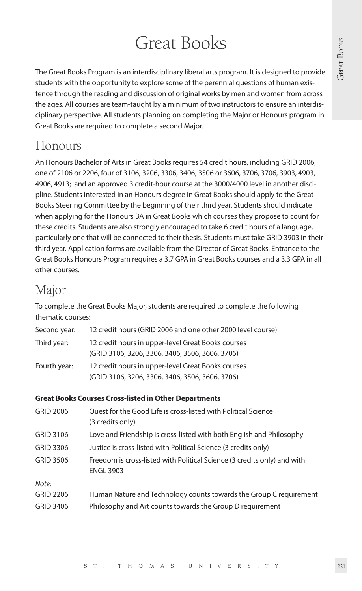# Great Books

The Great Books Program is an interdisciplinary liberal arts program. It is designed to provide students with the opportunity to explore some of the perennial questions of human existence through the reading and discussion of original works by men and women from across the ages. All courses are team-taught by a minimum of two instructors to ensure an interdisciplinary perspective. All students planning on completing the Major or Honours program in Great Books are required to complete a second Major.

# Honours

An Honours Bachelor of Arts in Great Books requires 54 credit hours, including GRID 2006, one of 2106 or 2206, four of 3106, 3206, 3306, 3406, 3506 or 3606, 3706, 3706, 3903, 4903, 4906, 4913; and an approved 3 credit-hour course at the 3000/4000 level in another discipline. Students interested in an Honours degree in Great Books should apply to the Great Books Steering Committee by the beginning of their third year. Students should indicate when applying for the Honours BA in Great Books which courses they propose to count for these credits. Students are also strongly encouraged to take 6 credit hours of a language, particularly one that will be connected to their thesis. Students must take GRID 3903 in their third year. Application forms are available from the Director of Great Books. Entrance to the Great Books Honours Program requires a 3.7 GPA in Great Books courses and a 3.3 GPA in all other courses.

# Major

To complete the Great Books Major, students are required to complete the following thematic courses:

| Second year: | 12 credit hours (GRID 2006 and one other 2000 level course) |
|--------------|-------------------------------------------------------------|
| Third year:  | 12 credit hours in upper-level Great Books courses          |
|              | (GRID 3106, 3206, 3306, 3406, 3506, 3606, 3706)             |
| Fourth year: | 12 credit hours in upper-level Great Books courses          |
|              | (GRID 3106, 3206, 3306, 3406, 3506, 3606, 3706)             |

# **Great Books Courses Cross-listed in Other Departments**

| <b>GRID 2006</b> | Quest for the Good Life is cross-listed with Political Science<br>(3 credits only)           |
|------------------|----------------------------------------------------------------------------------------------|
| GRID 3106        | Love and Friendship is cross-listed with both English and Philosophy                         |
| GRID 3306        | Justice is cross-listed with Political Science (3 credits only)                              |
| <b>GRID 3506</b> | Freedom is cross-listed with Political Science (3 credits only) and with<br><b>ENGL 3903</b> |
| Note:            |                                                                                              |
| <b>GRID 2206</b> | Human Nature and Technology counts towards the Group C requirement                           |
| <b>GRID 3406</b> | Philosophy and Art counts towards the Group D requirement                                    |
|                  |                                                                                              |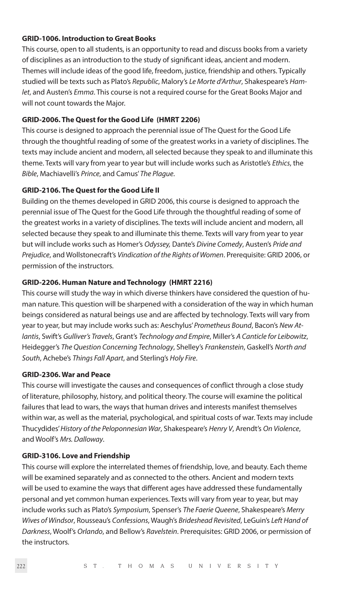# **GRID-1006. Introduction to Great Books**

This course, open to all students, is an opportunity to read and discuss books from a variety of disciplines as an introduction to the study of significant ideas, ancient and modern. Themes will include ideas of the good life, freedom, justice, friendship and others. Typically studied will be texts such as Plato's *Republic*, Malory's *Le Morte d'Arthur*, Shakespeare's *Hamlet*, and Austen's *Emma*. This course is not a required course for the Great Books Major and will not count towards the Major.

#### **GRID-2006. The Quest for the Good Life (HMRT 2206)**

This course is designed to approach the perennial issue of The Quest for the Good Life through the thoughtful reading of some of the greatest works in a variety of disciplines. The texts may include ancient and modern, all selected because they speak to and illuminate this theme. Texts will vary from year to year but will include works such as Aristotle's *Ethics*, the *Bible*, Machiavelli's *Prince*, and Camus' *The Plague*.

### **GRID-2106. The Quest for the Good Life II**

Building on the themes developed in GRID 2006, this course is designed to approach the perennial issue of The Quest for the Good Life through the thoughtful reading of some of the greatest works in a variety of disciplines. The texts will include ancient and modern, all selected because they speak to and illuminate this theme. Texts will vary from year to year but will include works such as Homer's *Odyssey,* Dante's *Divine Comedy*, Austen's *Pride and Prejudice*, and Wollstonecraft's *Vindication of the Rights of Women*. Prerequisite: GRID 2006, or permission of the instructors.

# **GRID-2206. Human Nature and Technology (HMRT 2216)**

This course will study the way in which diverse thinkers have considered the question of human nature. This question will be sharpened with a consideration of the way in which human beings considered as natural beings use and are affected by technology. Texts will vary from year to year, but may include works such as: Aeschylus' *Prometheus Bound*, Bacon's *New Atlantis*, Swift's *Gulliver's Travels*, Grant's *Technology and Empire*, Miller's *A Canticle for Leibowitz*, Heidegger's *The Question Concerning Technology*, Shelley's *Frankenstein*, Gaskell's *North and South*, Achebe's *Things Fall Apart*, and Sterling's *Holy Fire*.

#### **GRID-2306. War and Peace**

This course will investigate the causes and consequences of conflict through a close study of literature, philosophy, history, and political theory. The course will examine the political failures that lead to wars, the ways that human drives and interests manifest themselves within war, as well as the material, psychological, and spiritual costs of war. Texts may include Thucydides' *History of the Peloponnesian War*, Shakespeare's *Henry V*, Arendt's *On Violence*, and Woolf's *Mrs. Dalloway*.

#### **GRID-3106. Love and Friendship**

This course will explore the interrelated themes of friendship, love, and beauty. Each theme will be examined separately and as connected to the others. Ancient and modern texts will be used to examine the ways that different ages have addressed these fundamentally personal and yet common human experiences. Texts will vary from year to year, but may include works such as Plato's *Symposium*, Spenser's *The Faerie Queene*, Shakespeare's *Merry Wives of Windsor*, Rousseau's *Confessions*, Waugh's *Brideshead Revisited*, LeGuin's *Left Hand of Darkness*, Woolf's *Orlando*, and Bellow's *Ravelstein*. Prerequisites: GRID 2006, or permission of the instructors.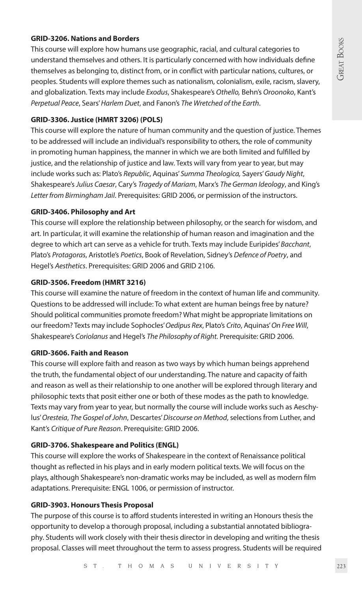# **GRID-3206. Nations and Borders**

This course will explore how humans use geographic, racial, and cultural categories to understand themselves and others. It is particularly concerned with how individuals define themselves as belonging to, distinct from, or in conflict with particular nations, cultures, or peoples. Students will explore themes such as nationalism, colonialism, exile, racism, slavery, and globalization. Texts may include *Exodus*, Shakespeare's *Othello,* Behn's *Oroonoko*, Kant's *Perpetual Peace*, Sears' *Harlem Duet*, and Fanon's *The Wretched of the Earth*.

#### **GRID-3306. Justice (HMRT 3206) (POLS)**

This course will explore the nature of human community and the question of justice. Themes to be addressed will include an individual's responsibility to others, the role of community in promoting human happiness, the manner in which we are both limited and fulfilled by justice, and the relationship of justice and law. Texts will vary from year to year, but may include works such as: Plato's *Republic*, Aquinas' *Summa Theologica,* Sayers' *Gaudy Night*, Shakespeare's *Julius Caesar*, Cary's *Tragedy of Mariam*, Marx's *The German Ideology*, and King's *Letter from Birmingham Jail*. Prerequisites: GRID 2006, or permission of the instructors.

#### **GRID-3406. Philosophy and Art**

This course will explore the relationship between philosophy, or the search for wisdom, and art. In particular, it will examine the relationship of human reason and imagination and the degree to which art can serve as a vehicle for truth. Texts may include Euripides' *Bacchant*, Plato's *Protagoras*, Aristotle's *Poetics*, Book of Revelation, Sidney's *Defence of Poetry*, and Hegel's *Aesthetics*. Prerequisites: GRID 2006 and GRID 2106.

# **GRID-3506. Freedom (HMRT 3216)**

This course will examine the nature of freedom in the context of human life and community. Questions to be addressed will include: To what extent are human beings free by nature? Should political communities promote freedom? What might be appropriate limitations on our freedom? Texts may include Sophocles' *Oedipus Rex*, Plato's *Crito*, Aquinas' *On Free Will*, Shakespeare's *Coriolanus* and Hegel's *The Philosophy of Right.* Prerequisite: GRID 2006.

# **GRID-3606. Faith and Reason**

This course will explore faith and reason as two ways by which human beings apprehend the truth, the fundamental object of our understanding. The nature and capacity of faith and reason as well as their relationship to one another will be explored through literary and philosophic texts that posit either one or both of these modes as the path to knowledge. Texts may vary from year to year, but normally the course will include works such as Aeschylus' *Oresteia*, *The Gospel of John*, Descartes' *Discourse on Method*, selections from Luther, and Kant's *Critique of Pure Reason*. Prerequisite: GRID 2006.

# **GRID-3706. Shakespeare and Politics (ENGL)**

This course will explore the works of Shakespeare in the context of Renaissance political thought as reflected in his plays and in early modern political texts. We will focus on the plays, although Shakespeare's non-dramatic works may be included, as well as modern film adaptations. Prerequisite: ENGL 1006, or permission of instructor.

# **GRID-3903. Honours Thesis Proposal**

The purpose of this course is to afford students interested in writing an Honours thesis the opportunity to develop a thorough proposal, including a substantial annotated bibliography. Students will work closely with their thesis director in developing and writing the thesis proposal. Classes will meet throughout the term to assess progress. Students will be required